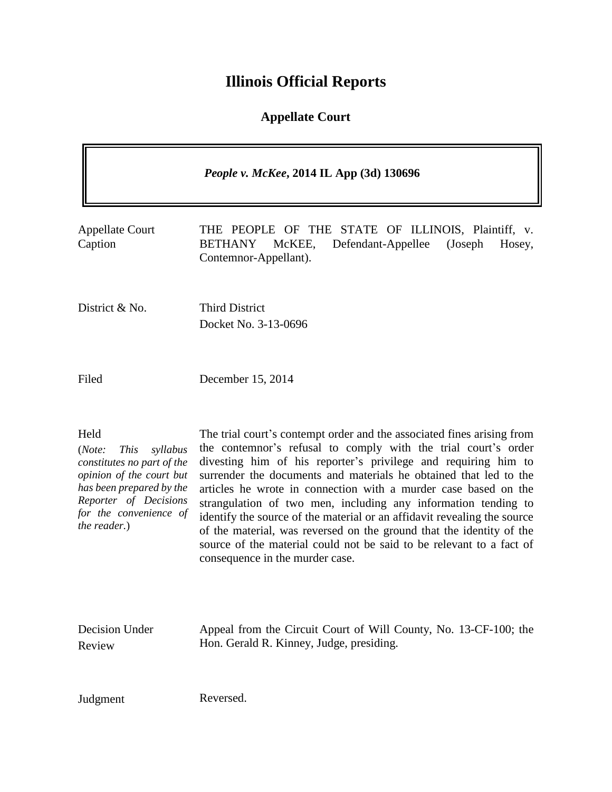# **Illinois Official Reports**

## **Appellate Court**

|                                                                                                                                                                                                    | <i>People v. McKee, 2014 IL App (3d) 130696</i>                                                                                                                                                                                                                                                                                                                                                                                                                                                                                                                                                                                                                                     |
|----------------------------------------------------------------------------------------------------------------------------------------------------------------------------------------------------|-------------------------------------------------------------------------------------------------------------------------------------------------------------------------------------------------------------------------------------------------------------------------------------------------------------------------------------------------------------------------------------------------------------------------------------------------------------------------------------------------------------------------------------------------------------------------------------------------------------------------------------------------------------------------------------|
| <b>Appellate Court</b><br>Caption                                                                                                                                                                  | THE PEOPLE OF THE STATE OF ILLINOIS, Plaintiff, v.<br>McKEE,<br>Defendant-Appellee<br>(Joseph)<br><b>BETHANY</b><br>Hosey,<br>Contemnor-Appellant).                                                                                                                                                                                                                                                                                                                                                                                                                                                                                                                                 |
| District & No.                                                                                                                                                                                     | <b>Third District</b><br>Docket No. 3-13-0696                                                                                                                                                                                                                                                                                                                                                                                                                                                                                                                                                                                                                                       |
| Filed                                                                                                                                                                                              | December 15, 2014                                                                                                                                                                                                                                                                                                                                                                                                                                                                                                                                                                                                                                                                   |
| Held<br><b>This</b><br>(Note:<br>syllabus<br>constitutes no part of the<br>opinion of the court but<br>has been prepared by the<br>Reporter of Decisions<br>for the convenience of<br>the reader.) | The trial court's contempt order and the associated fines arising from<br>the contemnor's refusal to comply with the trial court's order<br>divesting him of his reporter's privilege and requiring him to<br>surrender the documents and materials he obtained that led to the<br>articles he wrote in connection with a murder case based on the<br>strangulation of two men, including any information tending to<br>identify the source of the material or an affidavit revealing the source<br>of the material, was reversed on the ground that the identity of the<br>source of the material could not be said to be relevant to a fact of<br>consequence in the murder case. |
| Decision Under<br>Review                                                                                                                                                                           | Appeal from the Circuit Court of Will County, No. 13-CF-100; the<br>Hon. Gerald R. Kinney, Judge, presiding.                                                                                                                                                                                                                                                                                                                                                                                                                                                                                                                                                                        |
| Judgment                                                                                                                                                                                           | Reversed.                                                                                                                                                                                                                                                                                                                                                                                                                                                                                                                                                                                                                                                                           |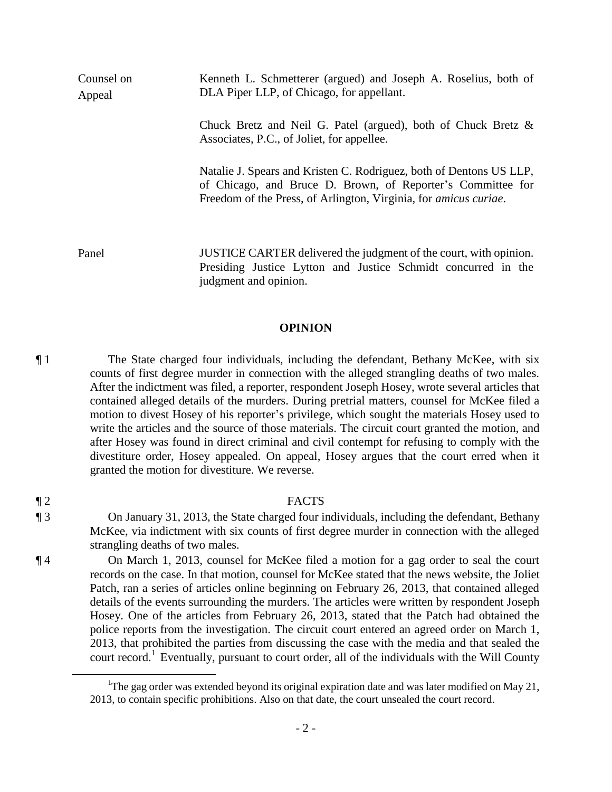| Counsel on<br>Appeal | Kenneth L. Schmetterer (argued) and Joseph A. Roselius, both of<br>DLA Piper LLP, of Chicago, for appellant.                                                                                                   |
|----------------------|----------------------------------------------------------------------------------------------------------------------------------------------------------------------------------------------------------------|
|                      | Chuck Bretz and Neil G. Patel (argued), both of Chuck Bretz $\&$<br>Associates, P.C., of Joliet, for appellee.                                                                                                 |
|                      | Natalie J. Spears and Kristen C. Rodriguez, both of Dentons US LLP,<br>of Chicago, and Bruce D. Brown, of Reporter's Committee for<br>Freedom of the Press, of Arlington, Virginia, for <i>amicus curiae</i> . |

Panel JUSTICE CARTER delivered the judgment of the court, with opinion. Presiding Justice Lytton and Justice Schmidt concurred in the judgment and opinion.

### **OPINION**

¶ 1 The State charged four individuals, including the defendant, Bethany McKee, with six counts of first degree murder in connection with the alleged strangling deaths of two males. After the indictment was filed, a reporter, respondent Joseph Hosey, wrote several articles that contained alleged details of the murders. During pretrial matters, counsel for McKee filed a motion to divest Hosey of his reporter's privilege, which sought the materials Hosey used to write the articles and the source of those materials. The circuit court granted the motion, and after Hosey was found in direct criminal and civil contempt for refusing to comply with the divestiture order, Hosey appealed. On appeal, Hosey argues that the court erred when it granted the motion for divestiture. We reverse.

 $\overline{a}$ 

¶ 2 FACTS ¶ 3 On January 31, 2013, the State charged four individuals, including the defendant, Bethany McKee, via indictment with six counts of first degree murder in connection with the alleged strangling deaths of two males.

¶ 4 On March 1, 2013, counsel for McKee filed a motion for a gag order to seal the court records on the case. In that motion, counsel for McKee stated that the news website, the Joliet Patch, ran a series of articles online beginning on February 26, 2013, that contained alleged details of the events surrounding the murders. The articles were written by respondent Joseph Hosey. One of the articles from February 26, 2013, stated that the Patch had obtained the police reports from the investigation. The circuit court entered an agreed order on March 1, 2013, that prohibited the parties from discussing the case with the media and that sealed the court record.<sup>1</sup> Eventually, pursuant to court order, all of the individuals with the Will County

<sup>&</sup>lt;sup>1</sup>The gag order was extended beyond its original expiration date and was later modified on May 21, 2013, to contain specific prohibitions. Also on that date, the court unsealed the court record.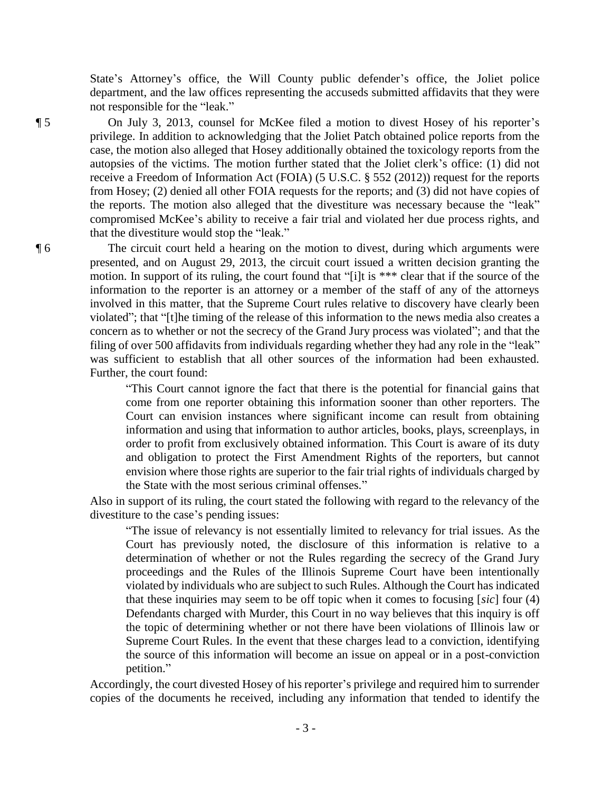State's Attorney's office, the Will County public defender's office, the Joliet police department, and the law offices representing the accuseds submitted affidavits that they were not responsible for the "leak."

¶ 5 On July 3, 2013, counsel for McKee filed a motion to divest Hosey of his reporter's privilege. In addition to acknowledging that the Joliet Patch obtained police reports from the case, the motion also alleged that Hosey additionally obtained the toxicology reports from the autopsies of the victims. The motion further stated that the Joliet clerk's office: (1) did not receive a Freedom of Information Act (FOIA) (5 U.S.C. § 552 (2012)) request for the reports from Hosey; (2) denied all other FOIA requests for the reports; and (3) did not have copies of the reports. The motion also alleged that the divestiture was necessary because the "leak" compromised McKee's ability to receive a fair trial and violated her due process rights, and that the divestiture would stop the "leak."

¶ 6 The circuit court held a hearing on the motion to divest, during which arguments were presented, and on August 29, 2013, the circuit court issued a written decision granting the motion. In support of its ruling, the court found that "[i]t is \*\*\* clear that if the source of the information to the reporter is an attorney or a member of the staff of any of the attorneys involved in this matter, that the Supreme Court rules relative to discovery have clearly been violated"; that "[t]he timing of the release of this information to the news media also creates a concern as to whether or not the secrecy of the Grand Jury process was violated"; and that the filing of over 500 affidavits from individuals regarding whether they had any role in the "leak" was sufficient to establish that all other sources of the information had been exhausted. Further, the court found:

> "This Court cannot ignore the fact that there is the potential for financial gains that come from one reporter obtaining this information sooner than other reporters. The Court can envision instances where significant income can result from obtaining information and using that information to author articles, books, plays, screenplays, in order to profit from exclusively obtained information. This Court is aware of its duty and obligation to protect the First Amendment Rights of the reporters, but cannot envision where those rights are superior to the fair trial rights of individuals charged by the State with the most serious criminal offenses."

Also in support of its ruling, the court stated the following with regard to the relevancy of the divestiture to the case's pending issues:

"The issue of relevancy is not essentially limited to relevancy for trial issues. As the Court has previously noted, the disclosure of this information is relative to a determination of whether or not the Rules regarding the secrecy of the Grand Jury proceedings and the Rules of the Illinois Supreme Court have been intentionally violated by individuals who are subject to such Rules. Although the Court has indicated that these inquiries may seem to be off topic when it comes to focusing [*sic*] four (4) Defendants charged with Murder, this Court in no way believes that this inquiry is off the topic of determining whether or not there have been violations of Illinois law or Supreme Court Rules. In the event that these charges lead to a conviction, identifying the source of this information will become an issue on appeal or in a post-conviction petition."

Accordingly, the court divested Hosey of his reporter's privilege and required him to surrender copies of the documents he received, including any information that tended to identify the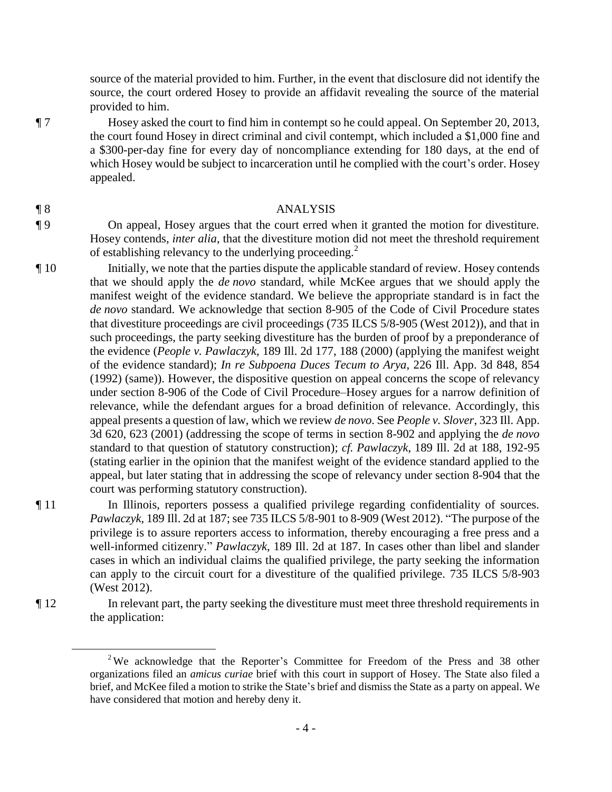source of the material provided to him. Further, in the event that disclosure did not identify the source, the court ordered Hosey to provide an affidavit revealing the source of the material provided to him.

¶ 7 Hosey asked the court to find him in contempt so he could appeal. On September 20, 2013, the court found Hosey in direct criminal and civil contempt, which included a \$1,000 fine and a \$300-per-day fine for every day of noncompliance extending for 180 days, at the end of which Hosey would be subject to incarceration until he complied with the court's order. Hosey appealed.

## ¶ 8 ANALYSIS

- ¶ 9 On appeal, Hosey argues that the court erred when it granted the motion for divestiture. Hosey contends, *inter alia*, that the divestiture motion did not meet the threshold requirement of establishing relevancy to the underlying proceeding.<sup>2</sup>
- ¶ 10 Initially, we note that the parties dispute the applicable standard of review. Hosey contends that we should apply the *de novo* standard, while McKee argues that we should apply the manifest weight of the evidence standard. We believe the appropriate standard is in fact the *de novo* standard. We acknowledge that section 8-905 of the Code of Civil Procedure states that divestiture proceedings are civil proceedings (735 ILCS 5/8-905 (West 2012)), and that in such proceedings, the party seeking divestiture has the burden of proof by a preponderance of the evidence (*People v. Pawlaczyk*, 189 Ill. 2d 177, 188 (2000) (applying the manifest weight of the evidence standard); *In re Subpoena Duces Tecum to Arya*, 226 Ill. App. 3d 848, 854 (1992) (same)). However, the dispositive question on appeal concerns the scope of relevancy under section 8-906 of the Code of Civil Procedure–Hosey argues for a narrow definition of relevance, while the defendant argues for a broad definition of relevance. Accordingly, this appeal presents a question of law, which we review *de novo*. See *People v. Slover*, 323 Ill. App. 3d 620, 623 (2001) (addressing the scope of terms in section 8-902 and applying the *de novo* standard to that question of statutory construction); *cf. Pawlaczyk*, 189 Ill. 2d at 188, 192-95 (stating earlier in the opinion that the manifest weight of the evidence standard applied to the appeal, but later stating that in addressing the scope of relevancy under section 8-904 that the court was performing statutory construction).

¶ 11 In Illinois, reporters possess a qualified privilege regarding confidentiality of sources. *Pawlaczyk*, 189 Ill. 2d at 187; see 735 ILCS 5/8-901 to 8-909 (West 2012). "The purpose of the privilege is to assure reporters access to information, thereby encouraging a free press and a well-informed citizenry." *Pawlaczyk*, 189 Ill. 2d at 187. In cases other than libel and slander cases in which an individual claims the qualified privilege, the party seeking the information can apply to the circuit court for a divestiture of the qualified privilege. 735 ILCS 5/8-903 (West 2012).

 $\overline{a}$ 

¶ 12 In relevant part, the party seeking the divestiture must meet three threshold requirements in the application:

<sup>&</sup>lt;sup>2</sup>We acknowledge that the Reporter's Committee for Freedom of the Press and 38 other organizations filed an *amicus curiae* brief with this court in support of Hosey. The State also filed a brief, and McKee filed a motion to strike the State's brief and dismiss the State as a party on appeal. We have considered that motion and hereby deny it.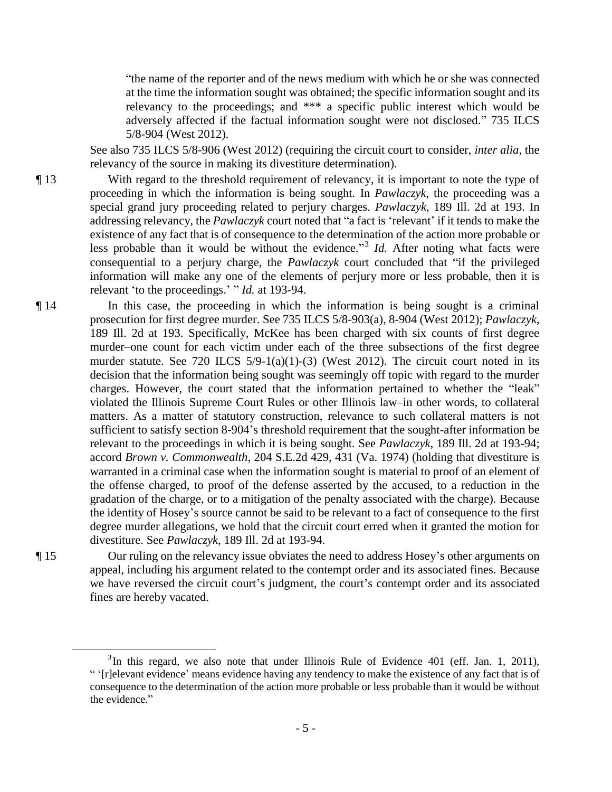"the name of the reporter and of the news medium with which he or she was connected at the time the information sought was obtained; the specific information sought and its relevancy to the proceedings; and \*\*\* a specific public interest which would be adversely affected if the factual information sought were not disclosed." 735 ILCS 5/8-904 (West 2012).

See also 735 ILCS 5/8-906 (West 2012) (requiring the circuit court to consider, *inter alia*, the relevancy of the source in making its divestiture determination).

- ¶ 13 With regard to the threshold requirement of relevancy, it is important to note the type of proceeding in which the information is being sought. In *Pawlaczyk*, the proceeding was a special grand jury proceeding related to perjury charges. *Pawlaczyk*, 189 Ill. 2d at 193. In addressing relevancy, the *Pawlaczyk* court noted that "a fact is 'relevant' if it tends to make the existence of any fact that is of consequence to the determination of the action more probable or less probable than it would be without the evidence."<sup>3</sup> Id. After noting what facts were consequential to a perjury charge, the *Pawlaczyk* court concluded that "if the privileged information will make any one of the elements of perjury more or less probable, then it is relevant 'to the proceedings.' " *Id.* at 193-94.
- ¶ 14 In this case, the proceeding in which the information is being sought is a criminal prosecution for first degree murder. See 735 ILCS 5/8-903(a), 8-904 (West 2012); *Pawlaczyk*, 189 Ill. 2d at 193. Specifically, McKee has been charged with six counts of first degree murder–one count for each victim under each of the three subsections of the first degree murder statute. See 720 ILCS  $5/9-1(a)(1)-(3)$  (West 2012). The circuit court noted in its decision that the information being sought was seemingly off topic with regard to the murder charges. However, the court stated that the information pertained to whether the "leak" violated the Illinois Supreme Court Rules or other Illinois law–in other words, to collateral matters. As a matter of statutory construction, relevance to such collateral matters is not sufficient to satisfy section 8-904's threshold requirement that the sought-after information be relevant to the proceedings in which it is being sought. See *Pawlaczyk*, 189 Ill. 2d at 193-94; accord *Brown v. Commonwealth*, 204 S.E.2d 429, 431 (Va. 1974) (holding that divestiture is warranted in a criminal case when the information sought is material to proof of an element of the offense charged, to proof of the defense asserted by the accused, to a reduction in the gradation of the charge, or to a mitigation of the penalty associated with the charge). Because the identity of Hosey's source cannot be said to be relevant to a fact of consequence to the first degree murder allegations, we hold that the circuit court erred when it granted the motion for divestiture. See *Pawlaczyk*, 189 Ill. 2d at 193-94.
- 

 $\overline{a}$ 

¶ 15 Our ruling on the relevancy issue obviates the need to address Hosey's other arguments on appeal, including his argument related to the contempt order and its associated fines. Because we have reversed the circuit court's judgment, the court's contempt order and its associated fines are hereby vacated.

 $3$ In this regard, we also note that under Illinois Rule of Evidence 401 (eff. Jan. 1, 2011), " '[r]elevant evidence' means evidence having any tendency to make the existence of any fact that is of consequence to the determination of the action more probable or less probable than it would be without the evidence."